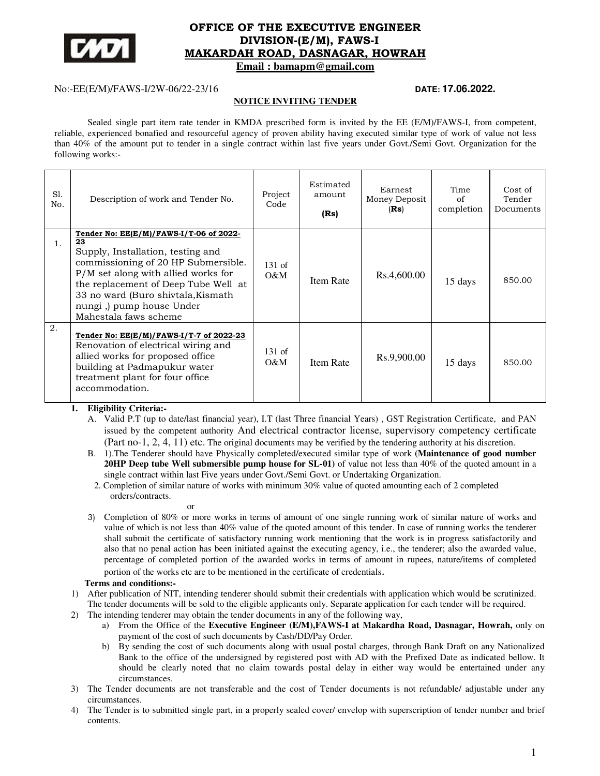

# **OFFICE OF THE EXECUTIVE ENGINEER DIVISION-(E/M), FAWS-I MAKARDAH ROAD, DASNAGAR, HOWRAH**

 **Email : bamapm@gmail.com** 

# No:-EE(E/M)/FAWS-I/2W-06/22-23/16 **DATE: 17.06.2022.**

### **NOTICE INVITING TENDER**

Sealed single part item rate tender in KMDA prescribed form is invited by the EE (E/M)/FAWS-I, from competent, reliable, experienced bonafied and resourceful agency of proven ability having executed similar type of work of value not less than 40% of the amount put to tender in a single contract within last five years under Govt./Semi Govt. Organization for the following works:-

| S1.<br>No. | Description of work and Tender No.                                                                                                                                                                                                                                                                    | Project<br>Code    | Estimated<br>amount<br>(Rs) | Earnest<br>Money Deposit<br>(Rs) | Time<br>of<br>completion | Cost of<br>Tender<br>Documents |
|------------|-------------------------------------------------------------------------------------------------------------------------------------------------------------------------------------------------------------------------------------------------------------------------------------------------------|--------------------|-----------------------------|----------------------------------|--------------------------|--------------------------------|
| 1.         | Tender No: EE(E/M)/FAWS-I/T-06 of 2022-<br>23<br>Supply, Installation, testing and<br>commissioning of 20 HP Submersible.<br>$P/M$ set along with allied works for<br>the replacement of Deep Tube Well at<br>33 no ward (Buro shivtala, Kismath<br>nungi,) pump house Under<br>Mahestala faws scheme | $131$ of<br>$0\&M$ | Item Rate                   | Rs.4,600.00                      | 15 days                  | 850.00                         |
| 2.         | Tender No: EE(E/M)/FAWS-I/T-7 of 2022-23<br>Renovation of electrical wiring and<br>allied works for proposed office<br>building at Padmapukur water<br>treatment plant for four office<br>accommodation.                                                                                              | $131$ of<br>$O\&M$ | Item Rate                   | Rs.9,900.00                      | 15 days                  | 850.00                         |

- **1. Eligibility Criteria:-** 
	- A. Valid P.T (up to date/last financial year), I.T (last Three financial Years) , GST Registration Certificate, and PAN issued by the competent authority And electrical contractor license, supervisory competency certificate (Part no-1, 2, 4, 11) etc. The original documents may be verified by the tendering authority at his discretion.
	- B. 1).The Tenderer should have Physically completed/executed similar type of work **(Maintenance of good number 20HP Deep tube Well submersible pump house for SL-01)** of value not less than 40% of the quoted amount in a single contract within last Five years under Govt./Semi Govt. or Undertaking Organization.
	- 2. Completion of similar nature of works with minimum 30% value of quoted amounting each of 2 completed orders/contracts.

or

3) Completion of 80% or more works in terms of amount of one single running work of similar nature of works and value of which is not less than 40% value of the quoted amount of this tender. In case of running works the tenderer shall submit the certificate of satisfactory running work mentioning that the work is in progress satisfactorily and also that no penal action has been initiated against the executing agency, i.e., the tenderer; also the awarded value, percentage of completed portion of the awarded works in terms of amount in rupees, nature/items of completed

portion of the works etc are to be mentioned in the certificate of credentials.

## **Terms and conditions:-**

- 1) After publication of NIT, intending tenderer should submit their credentials with application which would be scrutinized. The tender documents will be sold to the eligible applicants only. Separate application for each tender will be required.
- 2) The intending tenderer may obtain the tender documents in any of the following way,
	- a) From the Office of the **Executive Engineer (E/M),FAWS-I at Makardha Road, Dasnagar, Howrah,** only on payment of the cost of such documents by Cash/DD/Pay Order.
	- b) By sending the cost of such documents along with usual postal charges, through Bank Draft on any Nationalized Bank to the office of the undersigned by registered post with AD with the Prefixed Date as indicated bellow. It should be clearly noted that no claim towards postal delay in either way would be entertained under any circumstances.
- 3) The Tender documents are not transferable and the cost of Tender documents is not refundable/ adjustable under any circumstances.
- 4) The Tender is to submitted single part, in a properly sealed cover/ envelop with superscription of tender number and brief contents.